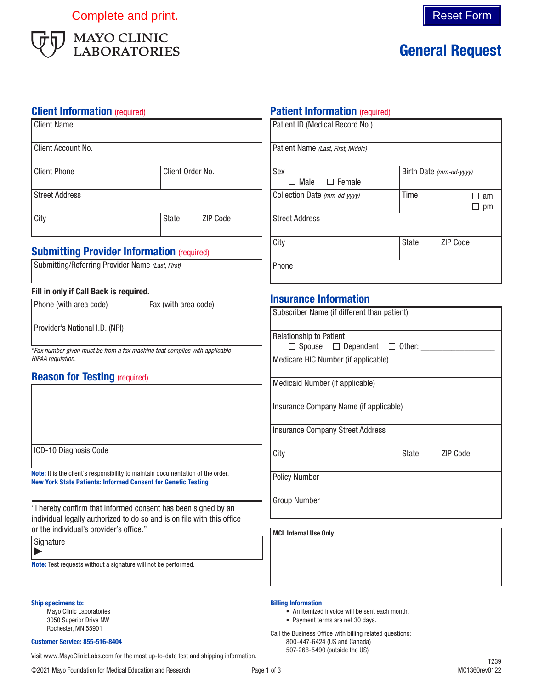Complete and print. Complete and print.



# General Request

### **Client Information** (required)

| <b>Client Name</b>    |                  |                 |
|-----------------------|------------------|-----------------|
| Client Account No.    |                  |                 |
| <b>Client Phone</b>   | Client Order No. |                 |
| <b>Street Address</b> |                  |                 |
| City                  | <b>State</b>     | <b>ZIP Code</b> |

## **Submitting Provider Information (required)**

### Fill in only if Call Back is required.

| Phone (with area code)                                                                          | Fax (with area code) |  |
|-------------------------------------------------------------------------------------------------|----------------------|--|
| Provider's National I.D. (NPI)                                                                  |                      |  |
| *Fax number given must be from a fax machine that complies with applicable<br>HIPAA regulation. |                      |  |

### **Reason for Testing (required)**

|  | ICD-10 Diagnosis Code |  |
|--|-----------------------|--|
|--|-----------------------|--|

Note: It is the client's responsibility to maintain documentation of the order. New York State Patients: Informed Consent for Genetic Testing

"I hereby confirm that informed consent has been signed by an individual legally authorized to do so and is on file with this office or the individual's provider's office."

Signature

 $\blacktriangleright$ 

Note: Test requests without a signature will not be performed.

#### Ship specimens to:

Mayo Clinic Laboratories 3050 Superior Drive NW Rochester, MN 55901

#### Customer Service: 855-516-8404

Visit www.MayoClinicLabs.com for the most up-to-date test and shipping information.

## **Patient Information (required)**

| Patient ID (Medical Record No.)    |                         |          |
|------------------------------------|-------------------------|----------|
| Patient Name (Last, First, Middle) |                         |          |
| Sex                                | Birth Date (mm-dd-yyyy) |          |
| $\Box$ Female<br>Male              |                         |          |
| Collection Date (mm-dd-yyyy)       | Time                    | am       |
|                                    |                         | pm       |
| <b>Street Address</b>              |                         |          |
| City                               | <b>State</b>            | ZIP Code |
| Phone                              |                         |          |

## Insurance Information

| Subscriber Name (if different than patient)                                                        |              |                 |
|----------------------------------------------------------------------------------------------------|--------------|-----------------|
| <b>Relationship to Patient</b><br>$\Box$ Spouse $\quad \Box$ Dependent $\quad \Box$ Other: _______ |              |                 |
| Medicare HIC Number (if applicable)                                                                |              |                 |
| Medicaid Number (if applicable)                                                                    |              |                 |
| Insurance Company Name (if applicable)                                                             |              |                 |
| <b>Insurance Company Street Address</b>                                                            |              |                 |
| City                                                                                               | <b>State</b> | <b>ZIP Code</b> |
| <b>Policy Number</b>                                                                               |              |                 |
| <b>Group Number</b>                                                                                |              |                 |
| <b>MCL Internal Use Only</b>                                                                       |              |                 |

#### Billing Information

- An itemized invoice will be sent each month.
- Payment terms are net 30 days.

Call the Business Office with billing related questions: 800-447-6424 (US and Canada) 507-266-5490 (outside the US)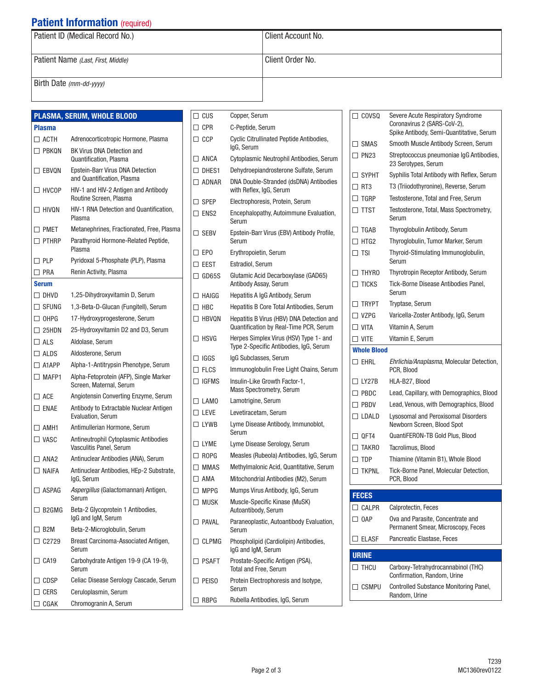## **Patient Information** (required)

| Patient ID (Medical Record No.)    | l Client Account No. |  |
|------------------------------------|----------------------|--|
| Patient Name (Last, First, Middle) | Client Order No.     |  |
| Birth Date (mm-dd-yyyy)            |                      |  |

|                | PLASMA, SERUM, WHOLE BLOOD                                        |
|----------------|-------------------------------------------------------------------|
| <b>Plasma</b>  |                                                                   |
| $\Box$ acth    | Adrenocorticotropic Hormone, Plasma                               |
| $\Box$ PBKON   | <b>BK Virus DNA Detection and</b><br>Quantification, Plasma       |
| $\Box$ EBVQN   | Epstein-Barr Virus DNA Detection<br>and Quantification, Plasma    |
| $\Box$ HVCOP   | HIV-1 and HIV-2 Antigen and Antibody                              |
| $\Box$ hivon   | Routine Screen, Plasma<br>HIV-1 RNA Detection and Quantification, |
| $\Box$ PMET    | Plasma<br>Metanephrines, Fractionated, Free, Plasma               |
| $\Box$ PTHRP   | Parathyroid Hormone-Related Peptide,                              |
|                | Plasma                                                            |
| $\Box$ PLP     | Pyridoxal 5-Phosphate (PLP), Plasma                               |
| $\Box$ PRA     | Renin Activity, Plasma                                            |
| Serum          |                                                                   |
| $\Box$ DHVD    | 1,25-Dihydroxyvitamin D, Serum                                    |
| $\Box$ Sfung   | 1,3-Beta-D-Glucan (Fungitell), Serum                              |
| $\Box$ OHPG    | 17-Hydroxyprogesterone, Serum                                     |
| $\Box$ 25HDN   | 25-Hydroxyvitamin D2 and D3, Serum                                |
| $\square$ als  | Aldolase, Serum                                                   |
| $\Box$ ALDS    | Aldosterone, Serum                                                |
| $\Box$ A1APP   | Alpha-1-Antitrypsin Phenotype, Serum                              |
| $\Box$ MAFP1   | Alpha-Fetoprotein (AFP), Single Marker<br>Screen, Maternal, Serum |
| $\Box$ ACE     | Angiotensin Converting Enzyme, Serum                              |
| $\square$ enae | Antibody to Extractable Nuclear Antigen<br>Evaluation, Serum      |
| $\Box$ AMH1    | Antimullerian Hormone, Serum                                      |
| $\Box$ VASC    | Antineutrophil Cytoplasmic Antibodies<br>Vasculitis Panel, Serum  |
| $\Box$ ANA2    | Antinuclear Antibodies (ANA), Serum                               |
| $\Box$ NAIFA   | Antinuclear Antibodies, HEp-2 Substrate,<br>lgG, Serum            |
| $\Box$ ASPAG   | Aspergillus (Galactomannan) Antigen,<br>Serum                     |
| $\Box$ B2GMG   | Beta-2 Glycoprotein 1 Antibodies,<br>IgG and IgM, Serum           |
| $\Box$ B2M     | Beta-2-Microglobulin, Serum                                       |
| $\Box$ C2729   | Breast Carcinoma-Associated Antigen,<br>Serum                     |
| $\Box$ CA19    | Carbohydrate Antigen 19-9 (CA 19-9),<br>Serum                     |
| $\Box$ CDSP    | Celiac Disease Serology Cascade, Serum                            |
| <b>CERS</b>    | Ceruloplasmin, Serum                                              |
| CGAK           | Chromogranin A, Serum                                             |

| $\Box$ cus      | Copper, Serum                                                                       |
|-----------------|-------------------------------------------------------------------------------------|
| $\Box$ CPR      | C-Peptide, Serum                                                                    |
| $\Box$ CCP      | Cyclic Citrullinated Peptide Antibodies,<br>lgG, Serum                              |
| □ ANCA          | Cytoplasmic Neutrophil Antibodies, Serum                                            |
| $\square$ Dhes1 | Dehydroepiandrosterone Sulfate, Serum                                               |
| $\Box$ ADNAR    | DNA Double-Stranded (dsDNA) Antibodies<br>with Reflex, IgG, Serum                   |
| $\square$ spep  | Electrophoresis, Protein, Serum                                                     |
| $\Box$ ens2     | Encephalopathy, Autoimmune Evaluation,<br>Serum                                     |
| $\Box$ sebv     | Epstein-Barr Virus (EBV) Antibody Profile,<br>Serum                                 |
| $\square$ EPO   | Erythropoietin, Serum                                                               |
| $\Box$ eest     | Estradiol, Serum                                                                    |
| $\Box$ GD65S    | Glutamic Acid Decarboxylase (GAD65)<br>Antibody Assay, Serum                        |
| $\Box$ Haigg    | Hepatitis A IgG Antibody, Serum                                                     |
| $\Box$ HBC      | Hepatitis B Core Total Antibodies, Serum                                            |
| $\Box$ HBVON    | Hepatitis B Virus (HBV) DNA Detection and<br>Quantification by Real-Time PCR, Serum |
| $\Box$ hsvg     | Herpes Simplex Virus (HSV) Type 1- and<br>Type 2-Specific Antibodies, IgG, Serum    |
| $\Box$ iggs     | IgG Subclasses, Serum                                                               |
| $\square$ Flcs  | Immunoglobulin Free Light Chains, Serum                                             |
| $\Box$ Igfms    | Insulin-Like Growth Factor-1,<br><b>Mass Spectrometry, Serum</b>                    |
| $\square$ LAMO  | Lamotrigine, Serum                                                                  |
| $\square$ leve  | Levetiracetam, Serum                                                                |
| $\Box$ Lywb     | Lyme Disease Antibody, Immunoblot,<br>Serum                                         |
| $\Box$ LYME     | Lyme Disease Serology, Serum                                                        |
| $\Box$ ROPG     | Measles (Rubeola) Antibodies, IgG, Serum                                            |
| $\Box$ MMAS     | Methylmalonic Acid, Quantitative, Serum                                             |
| $\Box$ AMA      | Mitochondrial Antibodies (M2), Serum                                                |
| $\Box$ MPPG     | Mumps Virus Antibody, IgG, Serum                                                    |
| $\Box$ Musk     | Muscle-Specific Kinase (MuSK)<br>Autoantibody, Serum                                |
| $\Box$ PAVAL    | Paraneoplastic, Autoantibody Evaluation,<br>Serum                                   |
| $\Box$ CLPMG    | Phospholipid (Cardiolipin) Antibodies,<br>IgG and IgM, Serum                        |
| $\Box$ PSAFT    | Prostate-Specific Antigen (PSA),<br><b>Total and Free, Serum</b>                    |
| $\square$ Peiso | Protein Electrophoresis and Isotype,<br>Serum                                       |
| $\Box$ RBPG     | Rubella Antibodies, IgG, Serum                                                      |
|                 |                                                                                     |

| $\Box$ COVSQ                | Severe Acute Respiratory Syndrome<br>Coronavirus 2 (SARS-CoV-2),<br>Spike Antibody, Semi-Quantitative, Serum |
|-----------------------------|--------------------------------------------------------------------------------------------------------------|
| $\Box$ SMAS                 | Smooth Muscle Antibody Screen, Serum                                                                         |
| $\Box$ PN23                 | Streptococcus pneumoniae IgG Antibodies,<br>23 Serotypes, Serum                                              |
| $\Box$ sypht                | Syphilis Total Antibody with Reflex, Serum                                                                   |
| $\Box$ RT3                  | T3 (Triiodothyronine), Reverse, Serum                                                                        |
| $\Box$ Tgrp                 | Testosterone, Total and Free, Serum                                                                          |
| $\Box$ ttst                 | Testosterone, Total, Mass Spectrometry,<br>Serum                                                             |
| $\Box$ TGAB                 | Thyroglobulin Antibody, Serum                                                                                |
| $\Box$ HTG2                 | Thyroglobulin, Tumor Marker, Serum                                                                           |
| $\Box$ TSI                  | Thyroid-Stimulating Immunoglobulin,<br>Serum                                                                 |
| $\Box$ THYRO                | Thyrotropin Receptor Antibody, Serum                                                                         |
| $\Box$ Ticks                | Tick-Borne Disease Antibodies Panel.<br>Serum                                                                |
| $\Box$ trypt                | Tryptase, Serum                                                                                              |
| $\Box$ V7PG                 | Varicella-Zoster Antibody, IgG, Serum                                                                        |
| $\Box$ vita                 | Vitamin A. Serum                                                                                             |
| $\Box$ vite                 | Vitamin E, Serum                                                                                             |
| <b>Whole Blood</b>          |                                                                                                              |
| $\square$ ehrl              | Ehrlichia/Anaplasma, Molecular Detection,<br>PCR, Blood                                                      |
| $\Box$ LY27B                | HLA-B27, Blood                                                                                               |
| $\Box$ PBDC                 | Lead, Capillary, with Demographics, Blood                                                                    |
| $\Box$ PBDV                 | Lead, Venous, with Demographics, Blood                                                                       |
| $\Box$ LDALD                | Lysosomal and Peroxisomal Disorders<br>Newborn Screen, Blood Spot                                            |
|                             |                                                                                                              |
| $\Box$ QFT4                 | QuantiFERON-TB Gold Plus, Blood                                                                              |
| $\Box$ Takro                | Tacrolimus, Blood                                                                                            |
| $\square$ tdp               | Thiamine (Vitamin B1), Whole Blood                                                                           |
| $\Box$ TKPNL                | Tick-Borne Panel, Molecular Detection,<br>PCR, Blood                                                         |
| <u>FECES</u>                |                                                                                                              |
| $\Box$ calpr                | Calprotectin, Feces                                                                                          |
| $\Box$ OAP                  | Ova and Parasite, Concentrate and<br>Permanent Smear, Microscopy, Feces                                      |
| $\square$ elasf             | Pancreatic Elastase, Feces                                                                                   |
|                             |                                                                                                              |
| <b>URINE</b><br>$\Box$ THCU | Carboxy-Tetrahydrocannabinol (THC)                                                                           |
|                             | Confirmation, Random, Urine                                                                                  |